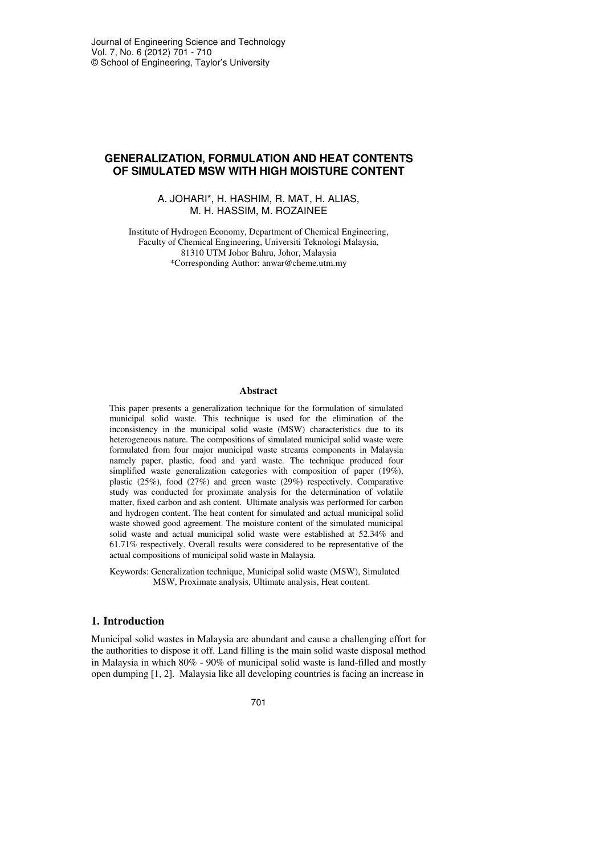# **GENERALIZATION, FORMULATION AND HEAT CONTENTS OF SIMULATED MSW WITH HIGH MOISTURE CONTENT**

### A. JOHARI\*, H. HASHIM, R. MAT, H. ALIAS, M. H. HASSIM, M. ROZAINEE

Institute of Hydrogen Economy, Department of Chemical Engineering, Faculty of Chemical Engineering, Universiti Teknologi Malaysia, 81310 UTM Johor Bahru, Johor, Malaysia \*Corresponding Author: anwar@cheme.utm.my

#### **Abstract**

This paper presents a generalization technique for the formulation of simulated municipal solid waste. This technique is used for the elimination of the inconsistency in the municipal solid waste (MSW) characteristics due to its heterogeneous nature. The compositions of simulated municipal solid waste were formulated from four major municipal waste streams components in Malaysia namely paper, plastic, food and yard waste. The technique produced four simplified waste generalization categories with composition of paper (19%), plastic (25%), food (27%) and green waste (29%) respectively. Comparative study was conducted for proximate analysis for the determination of volatile matter, fixed carbon and ash content. Ultimate analysis was performed for carbon and hydrogen content. The heat content for simulated and actual municipal solid waste showed good agreement. The moisture content of the simulated municipal solid waste and actual municipal solid waste were established at 52.34% and 61.71% respectively. Overall results were considered to be representative of the actual compositions of municipal solid waste in Malaysia.

Keywords: Generalization technique, Municipal solid waste (MSW), Simulated MSW, Proximate analysis, Ultimate analysis, Heat content.

## **1. Introduction**

Municipal solid wastes in Malaysia are abundant and cause a challenging effort for the authorities to dispose it off. Land filling is the main solid waste disposal method in Malaysia in which 80% - 90% of municipal solid waste is land-filled and mostly open dumping [1, 2]. Malaysia like all developing countries is facing an increase in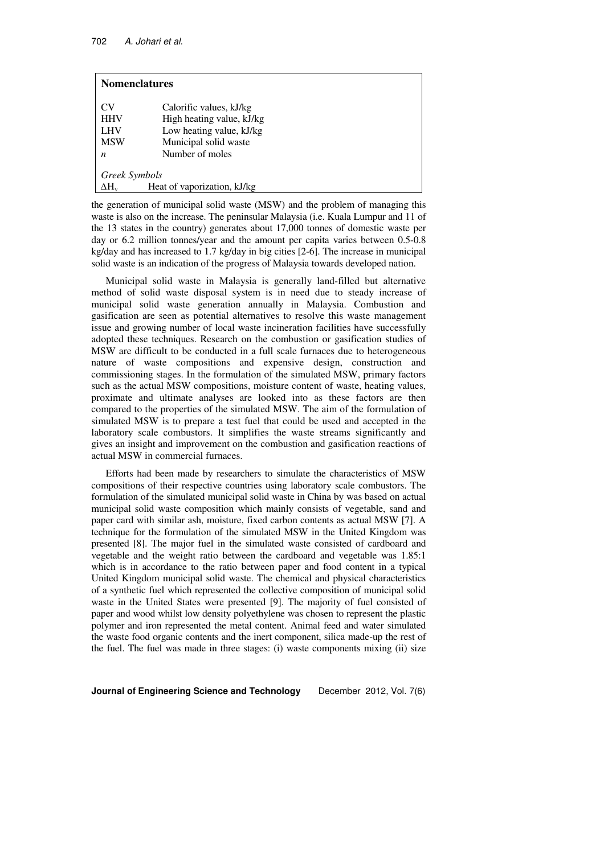| <b>Nomenclatures</b> |                             |  |  |  |  |
|----------------------|-----------------------------|--|--|--|--|
| CV                   | Calorific values, kJ/kg     |  |  |  |  |
| <b>HHV</b>           | High heating value, kJ/kg   |  |  |  |  |
| LHV                  | Low heating value, kJ/kg    |  |  |  |  |
| <b>MSW</b>           | Municipal solid waste       |  |  |  |  |
| $\boldsymbol{n}$     | Number of moles             |  |  |  |  |
| Greek Symbols        |                             |  |  |  |  |
| $\Delta H_{\rm v}$   | Heat of vaporization, kJ/kg |  |  |  |  |

the generation of municipal solid waste (MSW) and the problem of managing this waste is also on the increase. The peninsular Malaysia (i.e. Kuala Lumpur and 11 of the 13 states in the country) generates about 17,000 tonnes of domestic waste per day or 6.2 million tonnes/year and the amount per capita varies between 0.5-0.8 kg/day and has increased to 1.7 kg/day in big cities [2-6]. The increase in municipal solid waste is an indication of the progress of Malaysia towards developed nation.

Municipal solid waste in Malaysia is generally land-filled but alternative method of solid waste disposal system is in need due to steady increase of municipal solid waste generation annually in Malaysia. Combustion and gasification are seen as potential alternatives to resolve this waste management issue and growing number of local waste incineration facilities have successfully adopted these techniques. Research on the combustion or gasification studies of MSW are difficult to be conducted in a full scale furnaces due to heterogeneous nature of waste compositions and expensive design, construction and commissioning stages. In the formulation of the simulated MSW, primary factors such as the actual MSW compositions, moisture content of waste, heating values, proximate and ultimate analyses are looked into as these factors are then compared to the properties of the simulated MSW. The aim of the formulation of simulated MSW is to prepare a test fuel that could be used and accepted in the laboratory scale combustors. It simplifies the waste streams significantly and gives an insight and improvement on the combustion and gasification reactions of actual MSW in commercial furnaces.

Efforts had been made by researchers to simulate the characteristics of MSW compositions of their respective countries using laboratory scale combustors. The formulation of the simulated municipal solid waste in China by was based on actual municipal solid waste composition which mainly consists of vegetable, sand and paper card with similar ash, moisture, fixed carbon contents as actual MSW [7]. A technique for the formulation of the simulated MSW in the United Kingdom was presented [8]. The major fuel in the simulated waste consisted of cardboard and vegetable and the weight ratio between the cardboard and vegetable was 1.85:1 which is in accordance to the ratio between paper and food content in a typical United Kingdom municipal solid waste. The chemical and physical characteristics of a synthetic fuel which represented the collective composition of municipal solid waste in the United States were presented [9]. The majority of fuel consisted of paper and wood whilst low density polyethylene was chosen to represent the plastic polymer and iron represented the metal content. Animal feed and water simulated the waste food organic contents and the inert component, silica made-up the rest of the fuel. The fuel was made in three stages: (i) waste components mixing (ii) size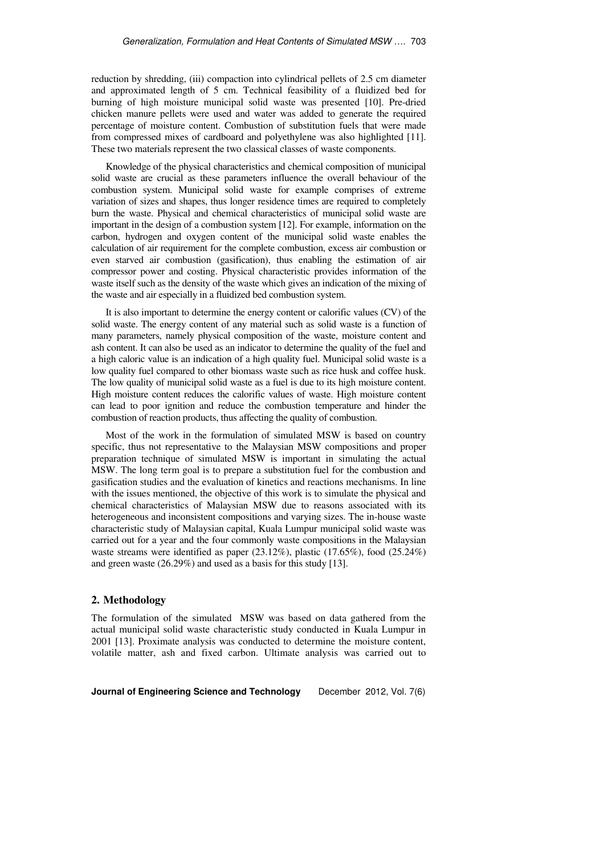reduction by shredding, (iii) compaction into cylindrical pellets of 2.5 cm diameter and approximated length of 5 cm. Technical feasibility of a fluidized bed for burning of high moisture municipal solid waste was presented [10]. Pre-dried chicken manure pellets were used and water was added to generate the required percentage of moisture content. Combustion of substitution fuels that were made from compressed mixes of cardboard and polyethylene was also highlighted [11]. These two materials represent the two classical classes of waste components.

Knowledge of the physical characteristics and chemical composition of municipal solid waste are crucial as these parameters influence the overall behaviour of the combustion system. Municipal solid waste for example comprises of extreme variation of sizes and shapes, thus longer residence times are required to completely burn the waste. Physical and chemical characteristics of municipal solid waste are important in the design of a combustion system [12]. For example, information on the carbon, hydrogen and oxygen content of the municipal solid waste enables the calculation of air requirement for the complete combustion, excess air combustion or even starved air combustion (gasification), thus enabling the estimation of air compressor power and costing. Physical characteristic provides information of the waste itself such as the density of the waste which gives an indication of the mixing of the waste and air especially in a fluidized bed combustion system.

It is also important to determine the energy content or calorific values (CV) of the solid waste. The energy content of any material such as solid waste is a function of many parameters, namely physical composition of the waste, moisture content and ash content. It can also be used as an indicator to determine the quality of the fuel and a high caloric value is an indication of a high quality fuel. Municipal solid waste is a low quality fuel compared to other biomass waste such as rice husk and coffee husk. The low quality of municipal solid waste as a fuel is due to its high moisture content. High moisture content reduces the calorific values of waste. High moisture content can lead to poor ignition and reduce the combustion temperature and hinder the combustion of reaction products, thus affecting the quality of combustion.

Most of the work in the formulation of simulated MSW is based on country specific, thus not representative to the Malaysian MSW compositions and proper preparation technique of simulated MSW is important in simulating the actual MSW. The long term goal is to prepare a substitution fuel for the combustion and gasification studies and the evaluation of kinetics and reactions mechanisms. In line with the issues mentioned, the objective of this work is to simulate the physical and chemical characteristics of Malaysian MSW due to reasons associated with its heterogeneous and inconsistent compositions and varying sizes. The in-house waste characteristic study of Malaysian capital, Kuala Lumpur municipal solid waste was carried out for a year and the four commonly waste compositions in the Malaysian waste streams were identified as paper  $(23.12\%)$ , plastic  $(17.65\%)$ , food  $(25.24\%)$ and green waste (26.29%) and used as a basis for this study [13].

#### **2. Methodology**

The formulation of the simulated MSW was based on data gathered from the actual municipal solid waste characteristic study conducted in Kuala Lumpur in 2001 [13]. Proximate analysis was conducted to determine the moisture content, volatile matter, ash and fixed carbon. Ultimate analysis was carried out to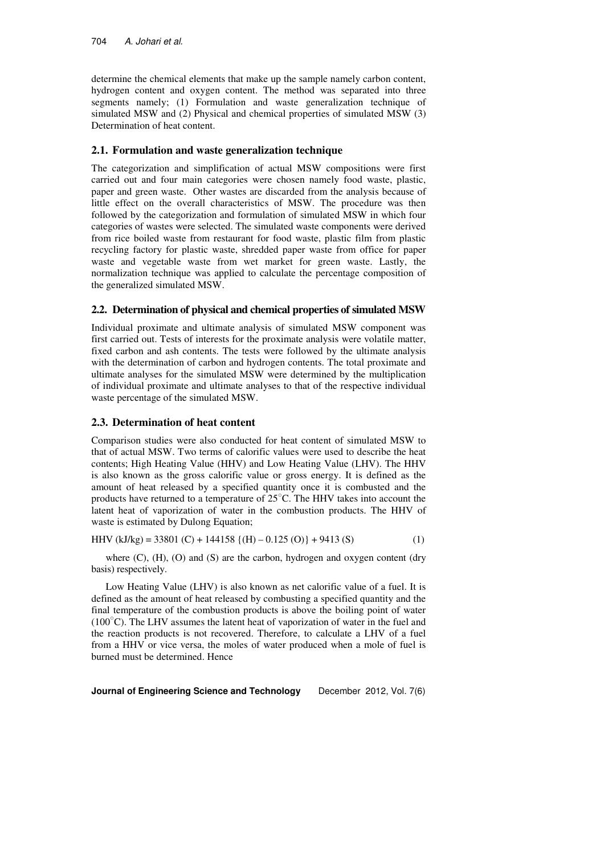determine the chemical elements that make up the sample namely carbon content, hydrogen content and oxygen content. The method was separated into three segments namely; (1) Formulation and waste generalization technique of simulated MSW and (2) Physical and chemical properties of simulated MSW (3) Determination of heat content.

## **2.1. Formulation and waste generalization technique**

The categorization and simplification of actual MSW compositions were first carried out and four main categories were chosen namely food waste, plastic, paper and green waste. Other wastes are discarded from the analysis because of little effect on the overall characteristics of MSW. The procedure was then followed by the categorization and formulation of simulated MSW in which four categories of wastes were selected. The simulated waste components were derived from rice boiled waste from restaurant for food waste, plastic film from plastic recycling factory for plastic waste, shredded paper waste from office for paper waste and vegetable waste from wet market for green waste. Lastly, the normalization technique was applied to calculate the percentage composition of the generalized simulated MSW.

## **2.2. Determination of physical and chemical properties of simulated MSW**

Individual proximate and ultimate analysis of simulated MSW component was first carried out. Tests of interests for the proximate analysis were volatile matter, fixed carbon and ash contents. The tests were followed by the ultimate analysis with the determination of carbon and hydrogen contents. The total proximate and ultimate analyses for the simulated MSW were determined by the multiplication of individual proximate and ultimate analyses to that of the respective individual waste percentage of the simulated MSW.

## **2.3. Determination of heat content**

Comparison studies were also conducted for heat content of simulated MSW to that of actual MSW. Two terms of calorific values were used to describe the heat contents; High Heating Value (HHV) and Low Heating Value (LHV). The HHV is also known as the gross calorific value or gross energy. It is defined as the amount of heat released by a specified quantity once it is combusted and the products have returned to a temperature of 25○C. The HHV takes into account the latent heat of vaporization of water in the combustion products. The HHV of waste is estimated by Dulong Equation;

HHV (kJ/kg) = 33801 (C) + 144158  $\{(H) - 0.125 (O)\}$  + 9413 (S) (1)

where  $(C)$ ,  $(H)$ ,  $(O)$  and  $(S)$  are the carbon, hydrogen and oxygen content (dry basis) respectively.

Low Heating Value (LHV) is also known as net calorific value of a fuel. It is defined as the amount of heat released by combusting a specified quantity and the final temperature of the combustion products is above the boiling point of water ( $100^{\circ}$ C). The LHV assumes the latent heat of vaporization of water in the fuel and the reaction products is not recovered. Therefore, to calculate a LHV of a fuel from a HHV or vice versa, the moles of water produced when a mole of fuel is burned must be determined. Hence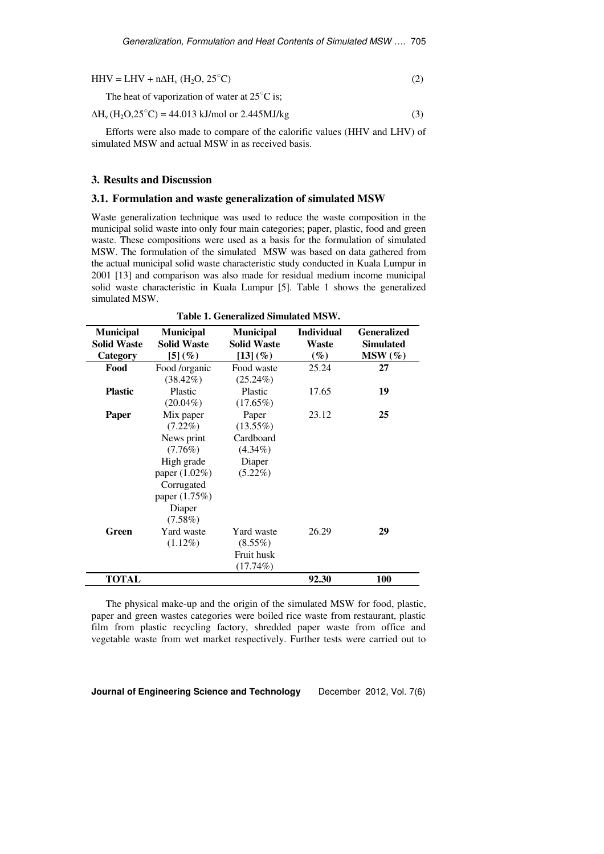| $HHV = LHV + n\Delta H_v (H_2O, 25^{\circ}C)$           |  |
|---------------------------------------------------------|--|
| The heat of vaporization of water at $25^{\circ}$ C is; |  |

$$
\Delta H_v \left( H_2 O, 25^{\circ} \text{C} \right) = 44.013 \text{ kJ/mol or } 2.445 \text{MJ/kg}
$$
 (3)

Efforts were also made to compare of the calorific values (HHV and LHV) of simulated MSW and actual MSW in as received basis.

#### **3. Results and Discussion**

### **3.1. Formulation and waste generalization of simulated MSW**

Waste generalization technique was used to reduce the waste composition in the municipal solid waste into only four main categories; paper, plastic, food and green waste. These compositions were used as a basis for the formulation of simulated MSW. The formulation of the simulated MSW was based on data gathered from the actual municipal solid waste characteristic study conducted in Kuala Lumpur in 2001 [13] and comparison was also made for residual medium income municipal solid waste characteristic in Kuala Lumpur [5]. Table 1 shows the generalized simulated MSW.

| <b>Municipal</b>   | <b>Municipal</b>   | <b>Municipal</b>   | <b>Individual</b> | <b>Generalized</b> |  |  |  |
|--------------------|--------------------|--------------------|-------------------|--------------------|--|--|--|
| <b>Solid Waste</b> | <b>Solid Waste</b> | <b>Solid Waste</b> | Waste             | <b>Simulated</b>   |  |  |  |
| Category           | $[5] (\%)$         | $[13] (\%)$        | $(\%)$            | $MSW(\%)$          |  |  |  |
| Food               | Food /organic      | Food waste         | 25.24             | 27                 |  |  |  |
|                    | $(38.42\%)$        | $(25.24\%)$        |                   |                    |  |  |  |
| <b>Plastic</b>     | Plastic            | Plastic            | 17.65             | 19                 |  |  |  |
|                    | $(20.04\%)$        | $(17.65\%)$        |                   |                    |  |  |  |
| <b>Paper</b>       | Mix paper          | Paper              | 23.12             | 25                 |  |  |  |
|                    | $(7.22\%)$         | $(13.55\%)$        |                   |                    |  |  |  |
|                    | News print         | Cardboard          |                   |                    |  |  |  |
|                    | $(7.76\%)$         | $(4.34\%)$         |                   |                    |  |  |  |
|                    | High grade         | Diaper             |                   |                    |  |  |  |
|                    | paper (1.02%)      | $(5.22\%)$         |                   |                    |  |  |  |
|                    | Corrugated         |                    |                   |                    |  |  |  |
|                    | paper (1.75%)      |                    |                   |                    |  |  |  |
|                    | Diaper             |                    |                   |                    |  |  |  |
|                    | $(7.58\%)$         |                    |                   |                    |  |  |  |
| Green              | Yard waste         | Yard waste         | 26.29             | 29                 |  |  |  |
|                    | $(1.12\%)$         | $(8.55\%)$         |                   |                    |  |  |  |
|                    |                    | Fruit husk         |                   |                    |  |  |  |
|                    |                    | $(17.74\%)$        |                   |                    |  |  |  |
| <b>TOTAL</b>       |                    |                    | 92.30             | <b>100</b>         |  |  |  |

**Table 1. Generalized Simulated MSW.** 

The physical make-up and the origin of the simulated MSW for food, plastic, paper and green wastes categories were boiled rice waste from restaurant, plastic film from plastic recycling factory, shredded paper waste from office and vegetable waste from wet market respectively. Further tests were carried out to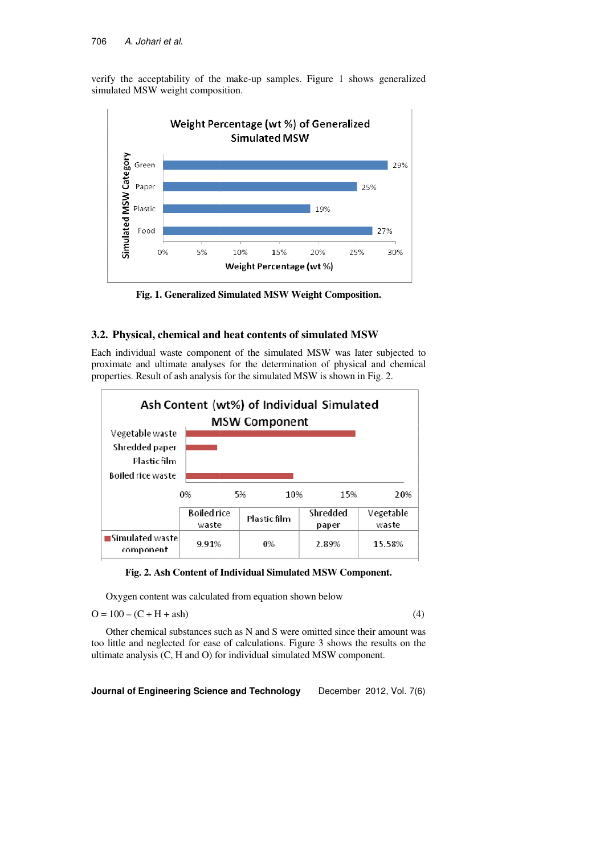verify the acceptability of the make-up samples. Figure 1 shows generalized simulated MSW weight composition.



**Fig. 1. Generalized Simulated MSW Weight Composition Composition.**

## **3.2. Physical, chemical and heat cont contents of simulated MSW**

Each individual waste component of the simulated MSW was later subjected to proximate and ultimate analyses for the determination of physical and chemical properties. Result of ash analysis for the simulated MSW is shown in Fig. 2.





Oxygen content was calculated from equation shown below<br> $(4)$ 

 $O = 100 - (C + H + ash)$ 

Other chemical substances such as N and S were omitted since their amount was too little and neglected for ease of calculations. Figure 3 shows the results on the ultimate analysis (C, H and O) for individual simulated MSW component.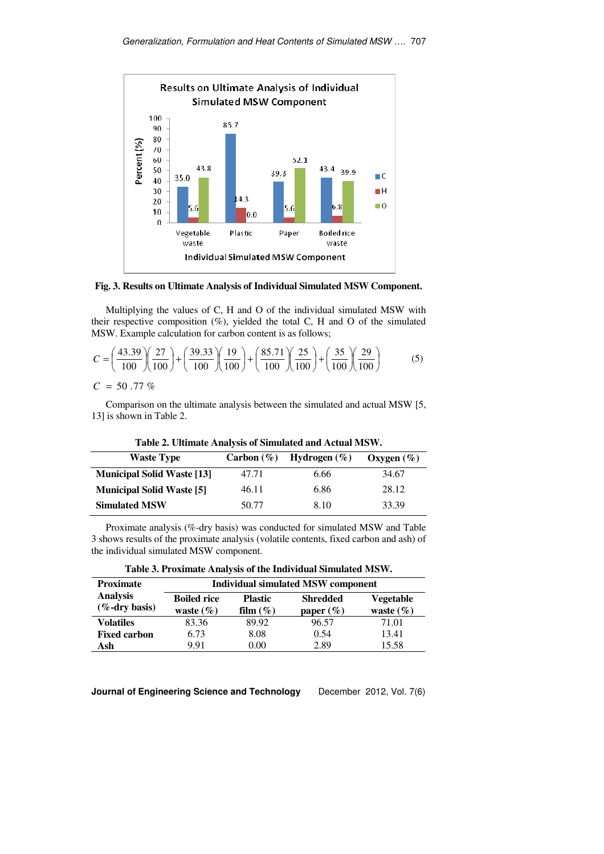

**Fig. 3. Results on Ultimate Analysis of Individual Simulated MSW Component.**

Multiplying the values of C, H and O of the individual simulated MSW with their respective composition  $(\%)$ , yielded the total C, H and O of the simulated MSW. Example calculation for carbon content is as follows;

$$
C = \left(\frac{43.39}{100}\right)\left(\frac{27}{100}\right) + \left(\frac{39.33}{100}\right)\left(\frac{19}{100}\right) + \left(\frac{85.71}{100}\right)\left(\frac{25}{100}\right) + \left(\frac{35}{100}\right)\left(\frac{29}{100}\right) \tag{5}
$$

 $C = 50.77 \%$ 

Comparison on the ultimate analysis between the simulated and actual MSW [5, 13] is shown in Table 2.

**Table 2. Ultimate Analysis of Simulated and Actual MSW.** 

| <b>Waste Type</b>                 | Carbon $(\% )$ | Hydrogen $(\%)$ | Oxygen $(\%)$ |
|-----------------------------------|----------------|-----------------|---------------|
| <b>Municipal Solid Waste [13]</b> | 47.71          | 6.66            | 34.67         |
| <b>Municipal Solid Waste [5]</b>  | 46.11          | 6.86            | 28.12         |
| <b>Simulated MSW</b>              | 50.77          | 8.10            | 33.39         |

Proximate analysis (%-dry basis) was conducted for simulated MSW and Table 3 shows results of the proximate analysis (volatile contents, fixed carbon and ash) of the individual simulated MSW component.

| Table 3. Proximate Analysis of the Individual Simulated MSW. |  |  |
|--------------------------------------------------------------|--|--|
|                                                              |  |  |

| <b>Proximate</b>                     |                                     |                               | <b>Individual simulated MSW component</b> |                                   |
|--------------------------------------|-------------------------------------|-------------------------------|-------------------------------------------|-----------------------------------|
| <b>Analysis</b><br>$(\%$ -dry basis) | <b>Boiled rice</b><br>waste $(\% )$ | <b>Plastic</b><br>film $(\%)$ | <b>Shredded</b><br>paper $(\%)$           | <b>Vegetable</b><br>waste $(\% )$ |
| <b>Volatiles</b>                     | 83.36                               | 89.92                         | 96.57                                     | 71.01                             |
| <b>Fixed carbon</b>                  | 6.73                                | 8.08                          | 0.54                                      | 13.41                             |
| Ash                                  | 9.91                                | $0.00\,$                      | 2.89                                      | 15.58                             |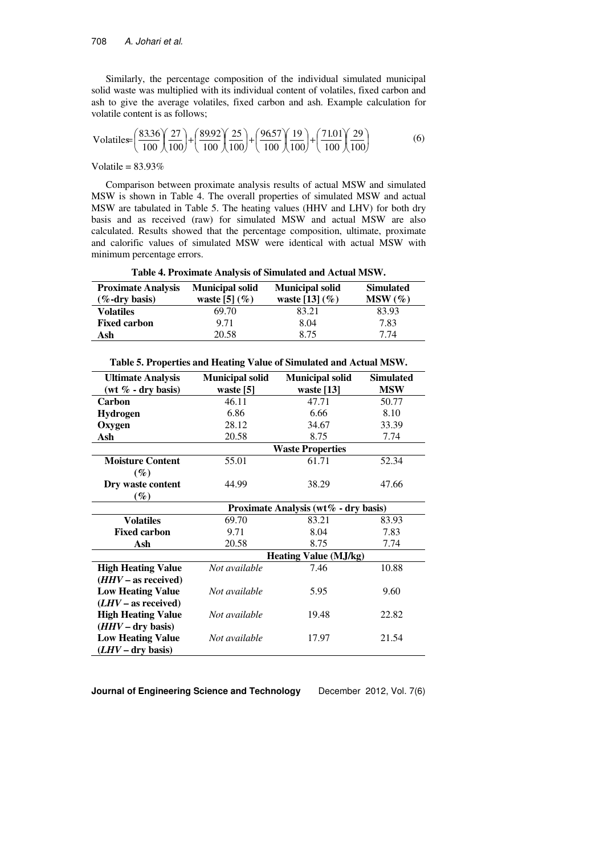Similarly, the percentage composition of the individual simulated municipal solid waste was multiplied with its individual content of volatiles, fixed carbon and ash to give the average volatiles, fixed carbon and ash. Example calculation for volatile content is as follows;

$$
Volatiles = \left(\frac{83.36}{100}\right)\left(\frac{27}{100}\right) + \left(\frac{89.92}{100}\right)\left(\frac{25}{100}\right) + \left(\frac{96.57}{100}\right)\left(\frac{19}{100}\right) + \left(\frac{71.01}{100}\right)\left(\frac{29}{100}\right) \tag{6}
$$

Volatile =  $83.93\%$ 

Comparison between proximate analysis results of actual MSW and simulated MSW is shown in Table 4. The overall properties of simulated MSW and actual MSW are tabulated in Table 5. The heating values (HHV and LHV) for both dry basis and as received (raw) for simulated MSW and actual MSW are also calculated. Results showed that the percentage composition, ultimate, proximate and calorific values of simulated MSW were identical with actual MSW with minimum percentage errors.

|  | Table 4. Proximate Analysis of Simulated and Actual MSW. |  |  |  |  |
|--|----------------------------------------------------------|--|--|--|--|
|  |                                                          |  |  |  |  |

| <b>Proximate Analysis</b><br>$(\%$ -dry basis) | <b>Municipal solid</b><br>waste [5] $(\%)$ | <b>Municipal solid</b><br>waste [13] $(\% )$ | <b>Simulated</b><br>$MSW(\%)$ |  |
|------------------------------------------------|--------------------------------------------|----------------------------------------------|-------------------------------|--|
| <b>Volatiles</b>                               | 69.70                                      | 83.21                                        | 83.93                         |  |
| <b>Fixed carbon</b>                            | 9.71                                       | 8.04                                         | 7.83                          |  |
| Ash                                            | 20.58                                      | 8.75                                         | 7.74                          |  |

| <b>Ultimate Analysis</b>  | <b>Municipal solid</b> | <b>Municipal solid</b>               | <b>Simulated</b> |
|---------------------------|------------------------|--------------------------------------|------------------|
| (wt $\%$ - dry basis)     | waste [5]              | waste [13]                           | <b>MSW</b>       |
| Carbon                    | 46.11                  | 47.71                                | 50.77            |
| <b>Hydrogen</b>           | 6.86                   | 6.66                                 | 8.10             |
| Oxygen                    | 28.12                  | 34.67                                | 33.39            |
| Ash                       | 20.58                  | 8.75                                 | 7.74             |
|                           |                        | <b>Waste Properties</b>              |                  |
| <b>Moisture Content</b>   | 55.01                  | 61.71                                | 52.34            |
| $(\%)$                    |                        |                                      |                  |
| Dry waste content         | 44.99                  | 38.29                                | 47.66            |
| $(\%)$                    |                        |                                      |                  |
|                           |                        | Proximate Analysis (wt% - dry basis) |                  |
| <b>Volatiles</b>          | 69.70                  | 83.21                                | 83.93            |
| <b>Fixed carbon</b>       | 9.71                   | 8.04                                 | 7.83             |
| Ash                       | 20.58                  | 8.75                                 | 7.74             |
|                           |                        | <b>Heating Value (MJ/kg)</b>         |                  |
| <b>High Heating Value</b> | Not available          | 7.46                                 | 10.88            |
| $(HHV - as received)$     |                        |                                      |                  |
| <b>Low Heating Value</b>  | Not available          | 5.95                                 | 9.60             |
| $(LHV - as received)$     |                        |                                      |                  |
| <b>High Heating Value</b> | Not available          | 19.48                                | 22.82            |
| $(HHV - dry basis)$       |                        |                                      |                  |
| <b>Low Heating Value</b>  | Not available          | 17.97                                | 21.54            |
| $(LHV - dry basis)$       |                        |                                      |                  |

**Table 5. Properties and Heating Value of Simulated and Actual MSW.**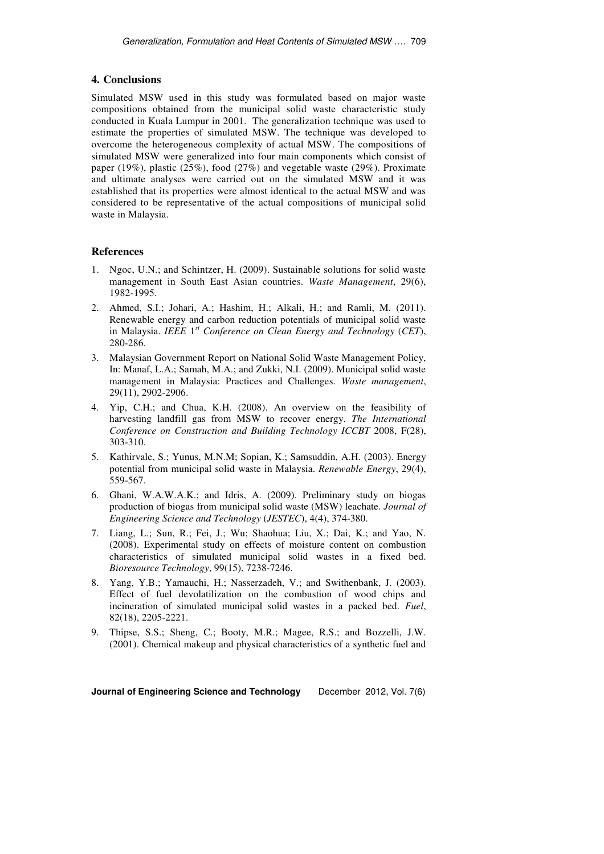## **4. Conclusions**

Simulated MSW used in this study was formulated based on major waste compositions obtained from the municipal solid waste characteristic study conducted in Kuala Lumpur in 2001. The generalization technique was used to estimate the properties of simulated MSW. The technique was developed to overcome the heterogeneous complexity of actual MSW. The compositions of simulated MSW were generalized into four main components which consist of paper (19%), plastic (25%), food (27%) and vegetable waste (29%). Proximate and ultimate analyses were carried out on the simulated MSW and it was established that its properties were almost identical to the actual MSW and was considered to be representative of the actual compositions of municipal solid waste in Malaysia.

### **References**

- 1. Ngoc, U.N.; and Schintzer, H. (2009). Sustainable solutions for solid waste management in South East Asian countries. *Waste Management*, 29(6), 1982-1995.
- 2. Ahmed, S.I.; Johari, A.; Hashim, H.; Alkali, H.; and Ramli, M. (2011). Renewable energy and carbon reduction potentials of municipal solid waste in Malaysia. *IEEE* 1 *st Conference on Clean Energy and Technology* (*CET*), 280-286.
- 3. Malaysian Government Report on National Solid Waste Management Policy, In: Manaf, L.A.; Samah, M.A.; and Zukki, N.I. (2009). Municipal solid waste management in Malaysia: Practices and Challenges. *Waste management*, 29(11), 2902-2906.
- 4. Yip, C.H.; and Chua, K.H. (2008). An overview on the feasibility of harvesting landfill gas from MSW to recover energy. *The International Conference on Construction and Building Technology ICCBT* 2008, F(28), 303-310.
- 5. Kathirvale, S.; Yunus, M.N.M; Sopian, K.; Samsuddin, A.H. (2003). Energy potential from municipal solid waste in Malaysia. *Renewable Energy*, 29(4), 559-567.
- 6. Ghani, W.A.W.A.K.; and Idris, A. (2009). Preliminary study on biogas production of biogas from municipal solid waste (MSW) leachate. *Journal of Engineering Science and Technology* (*JESTEC*), 4(4), 374-380.
- 7. Liang, L.; Sun, R.; Fei, J.; Wu; Shaohua; Liu, X.; Dai, K.; and Yao, N. (2008). Experimental study on effects of moisture content on combustion characteristics of simulated municipal solid wastes in a fixed bed. *Bioresource Technology*, 99(15), 7238-7246.
- 8. Yang, Y.B.; Yamauchi, H.; Nasserzadeh, V.; and Swithenbank, J. (2003). Effect of fuel devolatilization on the combustion of wood chips and incineration of simulated municipal solid wastes in a packed bed. *Fuel*, 82(18), 2205-2221.
- 9. Thipse, S.S.; Sheng, C.; Booty, M.R.; Magee, R.S.; and Bozzelli, J.W. (2001). Chemical makeup and physical characteristics of a synthetic fuel and